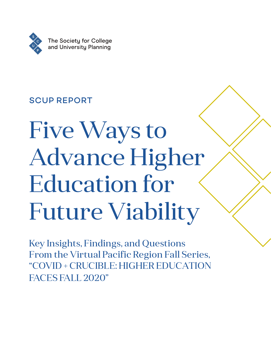

### SCUP REPORT

# Five Ways to Advance Higher Education for Future Viability

Key Insights, Findings, and Questions From the Virtual Pacific Region Fall Series, "COVID + CRUCIBLE: HIGHER EDUCATION FACES FALL 2020"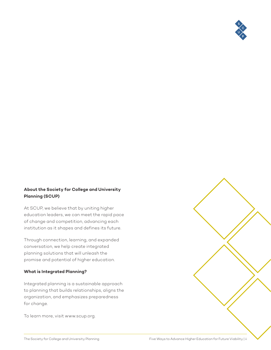

#### **About the Society for College and University Planning (SCUP)**

At SCUP, we believe that by uniting higher education leaders, we can meet the rapid pace of change and competition, advancing each institution as it shapes and defines its future.

Through connection, learning, and expanded conversation, we help create integrated planning solutions that will unleash the promise and potential of higher education.

#### **What is Integrated Planning?**

Integrated planning is a sustainable approach to planning that builds relationships, aligns the organization, and emphasizes preparedness for change.

To learn more, visit www.scup.org.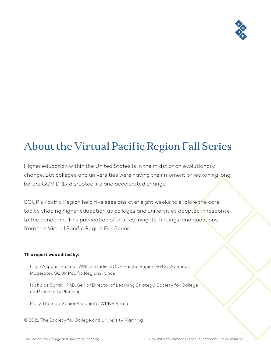

## About the Virtual Pacific Region Fall Series

Higher education within the United States is in the midst of an evolutionary change. But colleges and universities were having their moment of reckoning long before COVID-19 disrupted life and accelerated change.

SCUP's Pacific Region held five sessions over eight weeks to explore the core topics shaping higher education as colleges and universities adapted in response to the pandemic. This publication offers key insights, findings, and questions from this Virtual Pacific Region Fall Series.

#### **This report was edited by:**

Lilian Asperin, Partner, WRNS Studio, SCUP Pacific Region Fall 2020 Series Moderator, SCUP Pacific Regional Chair

Nicholas Santilli, PhD, Senior Director of Learning Strategy, Society for College and University Planning

Molly Thomas, Senior Associate, WRNS Studio

© 2021 The Society for College and University Planning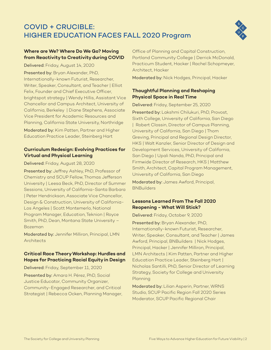#### COVID + CRUCIBLE: HIGHER EDUCATION FACES FALL 2020 Program



#### **Where are We? Where Do We Go? Moving from Reactivity to Creativity during COVID**

Delivered: Friday, August 14, 2020

Presented by: Bryan Alexander, PhD, Internationally-known Futurist, Researcher, Writer, Speaker, Consultant, and Teacher | Elliot Felix, Founder and Chief Executive Officer, brightspot strategy | Wendy Hillis, Assistant Vice Chancellor and Campus Architect, University of California, Berkeley | Diane Stephens, Associate Vice President for Academic Resources and Planning, California State University, Northridge

Moderated by: Kim Patten, Partner and Higher Education Practice Leader, Steinberg Hart

#### **Curriculum Redesign: Evolving Practices for Virtual and Physical Learning**

#### Delivered: Friday, August 28, 2020

Presented by: Jeffrey Ashley, PhD, Professor of Chemistry and SCUP Fellow, Thomas Jefferson University | Leesa Beck, PhD, Director of Summer Sessions, University of California-Santa Barbara | Peter Hendrickson, Associate Vice Chancellor, Design & Construction, University of California-Los Angeles | Scott Montemerlo, National Program Manager, Education, Teknion | Royce Smith, PhD, Dean, Montana State University – Bozeman

Moderated by: Jennifer Milliron, Principal, LMN **Architects** 

#### **Critical Race Theory Workshop: Hurdles and Hopes for Practicing Racial Equity in Design**

Delivered: Friday, September 11, 2020

Presented by: Amara H. Pérez, PhD, Social Justice Educator, Community Organizer, Community-Engaged Researcher, and Critical Strategist | Rebecca Ocken, Planning Manager,

Office of Planning and Capital Construction, Portland Community College | Derrick McDonald, Practicum Student, Hacker | Rachel Schopmeyer, Architect, Hacker

Moderated by: Nick Hodges, Principal, Hacker

#### **Thoughtful Planning and Reshaping Physical Space in Real Time**

Delivered: Friday, September 25, 2020

Presented by: Lakshmi Chilukuri, PhD, Provost, Sixth College, University of California, San Diego | Robert Clossin, Director of Campus Planning, University of California, San Diego | Thom Greving, Principal and Regional Design Director, HKS | Walt Kanzler, Senior Director of Design and Development Services, University of California, San Diego | Upali Nanda, PhD, Principal and Firmwide Director of Research, HKS | Matthew Smith, Architect, Capital Program Management, University of California, San Diego

Moderated by: James Awford, Principal, **BNBuilders** 

#### **Lessons Learned From The Fall 2020 Reopening - What Will Stick?**

#### Delivered: Friday, October 9, 2020

Presented by: Bryan Alexander, PhD, Internationally-known Futurist, Researcher, Writer, Speaker, Consultant, and Teacher | James Awford, Principal, BNBuilders | Nick Hodges, Principal, Hacker | Jennifer Milliron, Principal, LMN Architects | Kim Patten, Partner and Higher Education Practice Leader, Steinberg Hart | Nicholas Santilli, PhD, Senior Director of Learning Strategy, Society for College and University Planning

Moderated by: Lilian Asperin, Partner, WRNS Studio, SCUP Pacific Region Fall 2020 Series Moderator, SCUP Pacific Regional Chair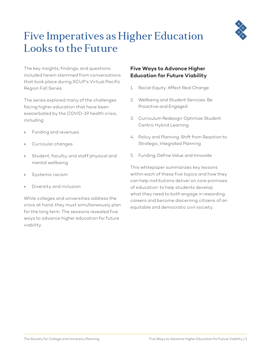

## Five Imperatives as Higher Education Looks to the Future

The key insights, findings, and questions included herein stemmed from conversations that took place during SCUP's Virtual Pacific Region Fall Series.

The series explored many of the challenges facing higher education that have been exacerbated by the COVID-19 health crisis, including:

- » Funding and revenues
- » Curricular changes
- » Student, faculty, and staff physical and mental wellbeing
- Systemic racism
- » Diversity and inclusion

While colleges and universities address the crisis at hand, they must simultaneously plan for the long term. The sessions revealed five ways to advance higher education for future viability.

#### **Five Ways to Advance Higher Education for Future Viability**

- 1. Racial Equity: Affect Real Change
- 2. Wellbeing and Student Services: Be Proactive and Engaged
- 3. Curriculum Redesign: Optimize Student Centric Hybrid Learning
- 4. Policy and Planning: Shift from Reaction to Strategic, Integrated Planning
- 5. Funding: Define Value and Innovate

This whitepaper summarizes key lessons within each of these five topics and how they can help institutions deliver on core promises of education: to help students develop what they need to both engage in rewarding careers and become discerning citizens of an equitable and democratic civil society.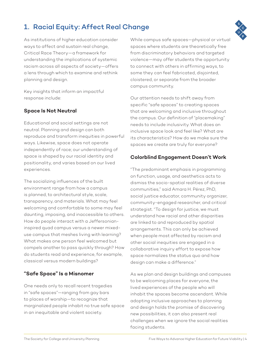#### 1. Racial Equity: Affect Real Change

As institutions of higher education consider ways to affect and sustain real change, Critical Race Theory—a framework for understanding the implications of systemic racism across all aspects of society—offers a lens through which to examine and rethink planning and design.

Key insights that inform an impactful response include:

#### **Space Is Not Neutral**

Educational and social settings are not neutral. Planning and design can both reproduce and transform inequities in powerful ways. Likewise, space does not operate independently of race; our understanding of space is shaped by our racial identity and positionality, and varies based on our lived experiences.

The socializing influences of the built environment range from how a campus is planned, to architectural style, scale, transparency, and materials. What may feel welcoming and comfortable to some may feel daunting, imposing, and inaccessible to others. How do people interact with a Jeffersonianinspired quad campus versus a newer mixeduse campus that meshes living with learning? What makes one person feel welcomed but compels another to pass quickly through? How do students read and experience, for example, classical versus modern buildings?

#### **"Safe Space" Is a Misnomer**

One needs only to recall recent tragedies in "safe spaces"—ranging from gay bars to places of worship—to recognize that marginalized people inhabit no true safe space in an inequitable and violent society.

While campus safe spaces—physical or virtual spaces where students are theoretically free from discriminatory behaviors and targeted violence—may offer students the opportunity to connect with others in affirming ways, to some they can feel fabricated, disjointed, cloistered, or separate from the broader campus community.

Our attention needs to shift away from specific "safe spaces" to creating spaces that are welcoming and inclusive throughout the campus. Our definition of "placemaking" needs to include inclusivity. What does an inclusive space look and feel like? What are its characteristics? How do we make sure the spaces we create are truly for everyone?

#### **Colorblind Engagement Doesn't Work**

"The predominant emphasis in programming on function, usage, and aesthetics acts to dismiss the socio-spatial realities of diverse communities," said Amara H. Pérez, PhD, social justice educator, community organizer, community-engaged researcher, and critical strategist. "To design for justice, we must understand how racial and other disparities are linked to and reproduced by spatial arrangements. This can only be achieved when people most affected by racism and other social inequities are engaged in a collaborative inquiry effort to expose how space normalizes the status quo and how design can make a difference."

As we plan and design buildings and campuses to be welcoming places for everyone, the lived experiences of the people who will inhabit the spaces become ascendant. While adopting inclusive approaches to planning and design holds the promise of discovering new possibilities, it can also present real challenges when we ignore the social realities facing students.

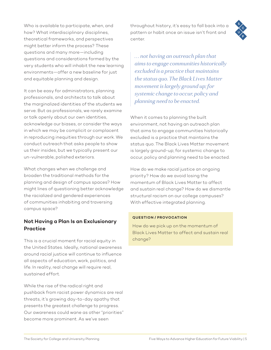Who is available to participate, when, and how? What interdisciplinary disciplines, theoretical frameworks, and perspectives might better inform the process? These questions and many more—including questions and considerations formed by the very students who will inhabit the new learning environments—offer a new baseline for just and equitable planning and design.

It can be easy for administrators, planning professionals, and architects to talk about the marginalized identities of the students we serve. But as professionals, we rarely examine or talk openly about our own identities, acknowledge our biases, or consider the ways in which we may be complicit or complacent in reproducing inequities through our work. We conduct outreach that asks people to show us their insides, but we typically present our un-vulnerable, polished exteriors.

What changes when we challenge and broaden the traditional methods for the planning and design of campus spaces? How might lines of questioning better acknowledge the racialized and gendered experiences of communities inhabiting and traversing campus space?

#### **Not Having a Plan Is an Exclusionary Practice**

This is a crucial moment for racial equity in the United States. Ideally, national awareness around racial justice will continue to influence all aspects of education, work, politics, and life. In reality, real change will require real, sustained effort.

While the rise of the radical right and pushback from racist power dynamics are real threats, it's growing day-to-day apathy that presents the greatest challenge to progress. Our awareness could wane as other "priorities" become more prominent. As we've seen

throughout history, it's easy to fall back into a pattern or habit once an issue isn't front and center.

*. . . not having an outreach plan that aims to engage communities historically excluded is a practice that maintains the status quo. The Black Lives Matter movement is largely ground up; for systemic change to occur, policy and planning need to be enacted.*

When it comes to planning the built environment, not having an outreach plan that aims to engage communities historically excluded is a practice that maintains the status quo. The Black Lives Matter movement is largely ground-up; for systemic change to occur, policy and planning need to be enacted.

How do we make racial justice an ongoing priority? How do we avoid losing the momentum of Black Lives Matter to affect and sustain real change? How do we dismantle structural racism on our college campuses? With effective integrated planning.

#### **QUESTION / PROVOCATION**

How do we pick up on the momentum of Black Lives Matter to affect and sustain real change?

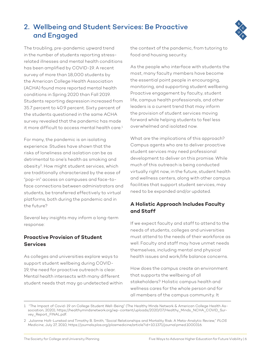#### 2. Wellbeing and Student Services: Be Proactive and Engaged



The troubling, pre-pandemic upward trend in the number of students reporting stressrelated illnesses and mental health conditions has been amplified by COVID-19. A recent survey of more than 18,000 students by the American College Health Association (ACHA) found more reported mental health conditions in Spring 2020 than Fall 2019. Students reporting depression increased from 35.7 percent to 40.9 percent. Sixty percent of the students questioned in the same ACHA survey revealed that the pandemic has made it more difficult to access mental health care.<sup>1</sup>

For many, the pandemic is an isolating experience. Studies have shown that the risks of loneliness and isolation can be as detrimental to one's health as smoking and obesity2. How might student services, which are traditionally characterized by the ease of "pop-in" access on campuses and face-toface connections between administrators and students, be transferred effectively to virtual platforms, both during the pandemic and in the future?

Several key insights may inform a long-term response:

#### **Proactive Provision of Student Services**

As colleges and universities explore ways to support student wellbeing during COVID-19, the need for proactive outreach is clear. Mental health intersects with many different student needs that may go undetected within the context of the pandemic, from tutoring to food and housing security.

As the people who interface with students the most, many faculty members have become the essential point people in encouraging, monitoring, and supporting student wellbeing. Proactive engagement by faculty, student life, campus health professionals, and other leaders is a current trend that may inform the provision of student services moving forward while helping students to feel less overwhelmed and isolated now.

What are the implications of this approach? Campus agents who are to deliver proactive student services may need professional development to deliver on this promise. While much of this outreach is being conducted virtually right now, in the future, student health and wellness centers, along with other campus facilities that support student services, may need to be expanded and/or updated.

#### **A Holistic Approach Includes Faculty and Staff**

If we expect faculty and staff to attend to the needs of students, colleges and universities must attend to the needs of their workforce as well. Faculty and staff may have unmet needs themselves, including mental and physical health issues and work/life balance concerns.

How does the campus create an environment that supports the wellbeing of all stakeholders? Holistic campus health and wellness cares for the whole person and for all members of the campus community. It

<sup>1 &</sup>quot;The Impact of Covid-19 on College Student Well-Being" (The Healthy Minds Network & American College Health Association, 2020), [https://healthymindsnetwork.org/wp-content/uploads/2020/07/Healthy\\_Minds\\_NCHA\\_COVID\\_Sur](https://healthymindsnetwork.org/wp-content/uploads/2020/07/Healthy_Minds_NCHA_COVID_Survey_Report_FINAL.pdf)[vey\\_Report\\_FINAL.pdf.](https://healthymindsnetwork.org/wp-content/uploads/2020/07/Healthy_Minds_NCHA_COVID_Survey_Report_FINAL.pdf)

<sup>2</sup> Julianne Holt-Lunstad and Timothy B. Smith, "Social Relationships and Mortality Risk: A Meta-Analytic Review," *PLOS Medicine*, July 27, 2010, [https://journals.plos.org/plosmedicine/article?id=10.1371/journal.pmed.1000316.](https://journals.plos.org/plosmedicine/article?id=10.1371/journal.pmed.1000316)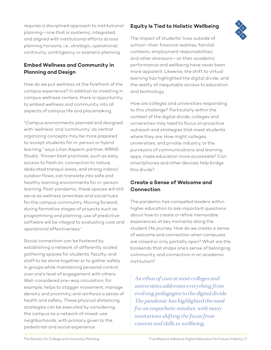requires a disciplined approach to institutional planning—one that is systemic, integrated, and aligned with institutional efforts across planning horizons, i.e., strategic, operational, continuity, contingency, or scenario planning.

#### **Embed Wellness and Community in Planning and Design**

How do we put wellness at the forefront of the campus experience? In addition to investing in campus wellness centers, there is opportunity to embed wellness and community into all aspects of campus life and placemaking.

"Campus environments planned and designed with 'wellness' and 'community' as central organizing concepts may be more prepared to accept students for in-person or hybrid learning," says Lilian Asperin, partner, WRNS Studio. "Known best practices, such as easy access to fresh air, connection to nature, dedicated tranquil areas, and strong indoor/ outdoor flows, can translate into safe and healthy learning environments for in-person learning. Post-pandemic, these spaces will still serve as wellness amenities and social hubs for the campus community. Moving forward, during formative stages of projects such as programming and planning, use of predictive software will be integral to evaluating cost and operational effectiveness."

Social connection can be fostered by establishing a network of differently scaled gathering spaces for students, faculty, and staff to be alone together or to gather safely in groups while maintaining personal control over one's level of engagement with others. Well-considered one-way circulation, for example, helps to stagger movement, manage density and proximity, and reinforce a sense of health and safety. These physical distancing strategies can be executed by considering the campus as a network of mixed-use neighborhoods, with primacy given to the pedestrian and social experience.

#### **Equity Is Tied to Holistic Wellbeing**



The impact of students' lives outside of school—their financial realities, familial contexts, employment responsibilities, and other stressors—on their academic performance and wellbeing have never been more apparent. Likewise, the shift to virtual learning has highlighted the digital divide, and the reality of inequitable access to education and technology.

How are colleges and universities responding to this challenge? Particularly within the context of the digital divide, colleges and universities may need to focus on proactive outreach and strategies that meet students where they are. How might colleges, universities, and private industry, or the purveyors of communications and learning apps, make education more accessible? Can smartphones and other devices help bridge this divide?

#### **Create a Sense of Welcome and Connection**

The pandemic has compelled leaders within higher education to ask important questions about how to create or refine memorable experiences at key moments along the student life journey. How do we create a sense of welcome and connection when campuses are closed or only partially open? What are the bookends that shape one's sense of belonging, community, and connection in an academic institution?

*An ethos of care at most colleges and universities addresses everything from evolving pedagogies to the digital divide. The pandemic has highlighted the need for an empathetic mindset, with many institutions shifting the focus from content and skills to wellbeing.*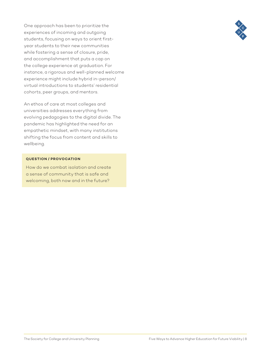One approach has been to prioritize the experiences of incoming and outgoing students, focusing on ways to orient firstyear students to their new communities while fostering a sense of closure, pride, and accomplishment that puts a cap on the college experience at graduation. For instance, a rigorous and well-planned welcome experience might include hybrid in-person/ virtual introductions to students' residential cohorts, peer groups, and mentors.

An ethos of care at most colleges and universities addresses everything from evolving pedagogies to the digital divide. The pandemic has highlighted the need for an empathetic mindset, with many institutions shifting the focus from content and skills to wellbeing.

#### **QUESTION / PROVOCATION**

How do we combat isolation and create a sense of community that is safe and welcoming, both now and in the future?

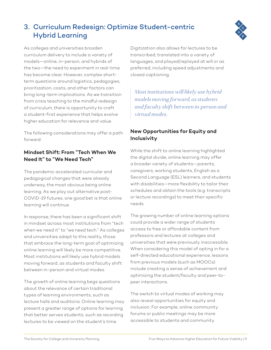## 3. Curriculum Redesign: Optimize Student-centric



As colleges and universities broaden curriculum delivery to include a variety of models—online, in-person, and hybrids of the two—the need to experiment in real-time has become clear. However, complex shortterm questions around logistics, pedagogies, prioritization, costs, and other factors can bring long-term implications. As we transition from crisis teaching to the mindful redesign of curriculum, there is opportunity to craft a student-first experience that helps evolve higher education for relevance and value.

Hybrid Learning

The following considerations may offer a path forward:

#### **Mindset Shift: From "Tech When We Need It" to "We Need Tech"**

The pandemic accelerated curricular and pedagogical changes that were already underway, the most obvious being online learning. As we play out alternative post-COVID-19 futures, one good bet is that online learning will continue.

In response, there has been a significant shift in mindset across most institutions from "tech when we need it" to "we need tech." As colleges and universities adapt to this reality, those that embrace the long-term goal of optimizing online learning will likely be more competitive. Most institutions will likely use hybrid models moving forward, as students and faculty shift between in-person and virtual modes.

The growth of online learning begs questions about the relevance of certain traditional types of learning environments, such as lecture halls and auditoria. Online learning may present a greater range of options for learning that better serves students, such as recording lectures to be viewed on the student's time.

Digitization also allows for lectures to be transcribed, translated into a variety of languages, and played/replayed at will or as preferred, including speed adjustments and closed captioning.

*Most institutions will likely use hybrid models moving forward, as students and faculty shift between in-person and virtual modes.*

#### **New Opportunities for Equity and Inclusivity**

While the shift to online learning highlighted the digital divide, online learning may offer a broader variety of students—parents, caregivers, working students, English as a Second Language (ESL) learners, and students with disabilities—more flexibility to tailor their schedules and obtain the tools (e.g. transcripts or lecture recordings) to meet their specific needs.

The growing number of online learning options could provide a wider range of students access to free or affordable content from professors and lectures at colleges and universities that were previously inaccessible. When considering this model of opting in for a self-directed educational experience, lessons from previous models (such as MOOCs) include creating a sense of achievement and optimizing the student/faculty and peer-topeer interactions.

The switch to virtual modes of working may also reveal opportunities for equity and inclusion. For example, online community forums or public meetings may be more accessible to students and community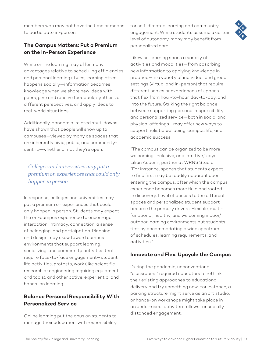members who may not have the time or means to participate in-person.

#### **The Campus Matters: Put a Premium on the In-Person Experience**

While online learning may offer many advantages relative to scheduling efficiencies and personal learning styles, learning often happens socially—information becomes knowledge when we share new ideas with peers, give and receive feedback, synthesize different perspectives, and apply ideas to real-world situations.

Additionally, pandemic-related shut-downs have shown that people will show up to campuses—viewed by many as spaces that are inherently civic, public, and communitycentric—whether or not they're open.

#### *Colleges and universities may put a premium on experiences that could only happen in person.*

In response, colleges and universities may put a premium on experiences that could only happen in person. Students may expect the on-campus experience to encourage interaction, intimacy, connection, a sense of belonging, and participation. Planning and design may skew toward campus environments that support learning, socializing, and community activities that require face-to-face engagement—student life activities, protests, work (like scientific research or engineering requiring equipment and tools), and other active, experiential and hands-on learning.

#### **Balance Personal Responsibility With Personalized Service**

Online learning put the onus on students to manage their education, with responsibility for self-directed learning and community engagement. While students assume a certain level of autonomy, many may benefit from personalized care.

Likewise, learning spans a variety of activities and modalities—from absorbing new information to applying knowledge in practice—in a variety of individual and group settings (virtual and in-person) that require different scales or experiences of spaces that flex from hour-to-hour, day-to-day, and into the future. Striking the right balance between supporting personal responsibility and personalized service—both in social and physical offerings—may offer new ways to support holistic wellbeing, campus life, and academic success.

"The campus can be organized to be more welcoming, inclusive, and intuitive," says Lilian Asperin, partner at WRNS Studio. "For instance, spaces that students expect to find first may be readily apparent upon entering the campus, after which the campus experience becomes more fluid and rooted in discovery. Level of access to the different spaces and personalized student support become the primary drivers. Flexible, multifunctional, healthy, and welcoming indoor/ outdoor learning environments put students first by accommodating a wide spectrum of schedules, learning requirements, and activities."

#### **Innovate and Flex: Upcycle the Campus**

During the pandemic, unconventional "classrooms" required educators to rethink their existing approaches to educational delivery and try something new. For instance, a parking structure might serve as an art studio, or hands-on workshops might take place in an under-used lobby that allows for socially distanced engagement.

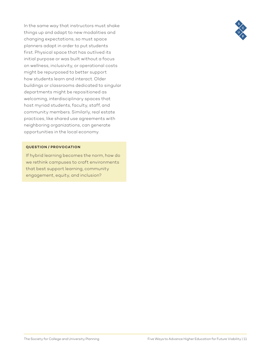In the same way that instructors must shake things up and adapt to new modalities and changing expectations, so must space planners adapt in order to put students first. Physical space that has outlived its initial purpose or was built without a focus on wellness, inclusivity, or operational costs might be repurposed to better support how students learn and interact. Older buildings or classrooms dedicated to singular departments might be repositioned as welcoming, interdisciplinary spaces that host myriad students, faculty, staff, and community members. Similarly, real estate practices, like shared use agreements with neighboring organizations, can generate opportunities in the local economy.

#### **QUESTION / PROVOCATION**

If hybrid learning becomes the norm, how do we rethink campuses to craft environments that best support learning, community engagement, equity, and inclusion?

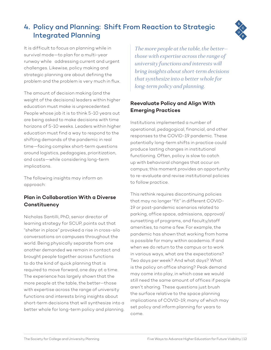#### 4. Policy and Planning: Shift From Reaction to Strategic Integrated Planning

It is difficult to focus on planning while in survival mode—to plan for a multi-year runway while addressing current and urgent challenges. Likewise, policy making and strategic planning are about defining the problem and the problem is very much in flux.

The amount of decision making (and the weight of the decisions) leaders within higher education must make is unprecedented. People whose job it is to think 5-10 years out are being asked to make decisions with time horizons of 5-10 weeks. Leaders within higher education must find a way to respond to the shifting demands of the pandemic in real time—facing complex short-term questions around logistics, pedagogies, prioritization, and costs—while considering long-term implications.

The following insights may inform an approach:

#### **Plan in Collaboration With a Diverse Constituency**

Nicholas Santilli, PhD, senior director of learning strategy for SCUP, points out that "shelter in place" provoked a rise in cross-silo conversations on campuses throughout the world. Being physically separate from one another demanded we remain in contact and brought people together across functions to do the kind of quick planning that is required to move forward, one day at a time. The experience has largely shown that the more people at the table, the better—those with expertise across the range of university functions and interests bring insights about short-term decisions that will synthesize into a better whole for long-term policy and planning.

*The more people at the table, the better those with expertise across the range of university functions and interests will bring insights about short-term decisions that synthesize into a better whole for long-term policy and planning.* 

#### **Reevaluate Policy and Align With Emerging Practices**

Institutions implemented a number of operational, pedagogical, financial, and other responses to the COVID-19 pandemic. These potentially long-term shifts in practice could produce lasting changes in institutional functioning. Often, policy is slow to catch up with behavioral changes that occur on campus; this moment provides an opportunity to re-evaluate and revise institutional policies to follow practice.

This rethink requires discontinuing policies that may no longer "fit" in different COVID-19 or post-pandemic scenarios related to parking, office space, admissions, approval/ sunsetting of programs, and faculty/staff amenities, to name a few. For example, the pandemic has shown that working from home is possible for many within academia. If and when we do return to the campus or to work in various ways, what are the expectations? Two days per week? And what days? What is the policy on office sharing? Peak demand may come into play, in which case we would still need the same amount of offices if people aren't sharing. These questions just brush the surface relative to the space planning implications of COVID-19, many of which may set policy and inform planning for years to come.



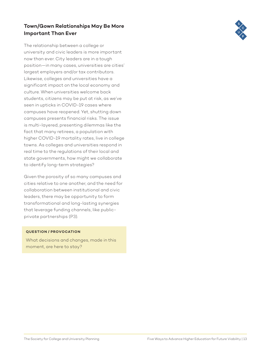#### **Town/Gown Relationships May Be More Important Than Ever**

The relationship between a college or university and civic leaders is more important now than ever. City leaders are in a tough position—in many cases, universities are cities' largest employers and/or tax contributors. Likewise, colleges and universities have a significant impact on the local economy and culture. When universities welcome back students, citizens may be put at risk, as we've seen in upticks in COVID-19 cases where campuses have reopened. Yet, shutting down campuses presents financial risks. The issue is multi-layered, presenting dilemmas like the fact that many retirees, a population with higher COVID-19 mortality rates, live in college towns. As colleges and universities respond in real time to the regulations of their local and state governments, how might we collaborate to identify long-term strategies?

Given the porosity of so many campuses and cities relative to one another, and the need for collaboration between institutional and civic leaders, there may be opportunity to form transformational and long-lasting synergies that leverage funding channels, like publicprivate partnerships (P3).

#### **QUESTION / PROVOCATION**

What decisions and changes, made in this moment, are here to stay?

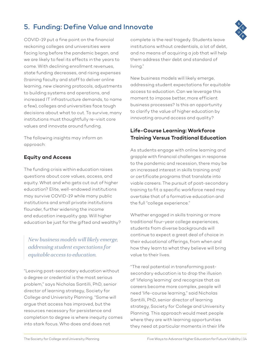#### 5. Funding: Define Value and Innovate

COVID-19 put a fine point on the financial reckoning colleges and universities were facing long before the pandemic began, and we are likely to feel its effects in the years to come. With declining enrollment revenues, state funding decreases, and rising expenses (training faculty and staff to deliver online learning, new cleaning protocols, adjustments to building systems and operations, and increased IT infrastructure demands, to name a few), colleges and universities face tough decisions about what to cut. To survive, many institutions must thoughtfully re-visit core values and innovate around funding.

The following insights may inform an approach:

#### **Equity and Access**

The funding crisis within education raises questions about core values, access, and equity. What and who gets cut out of higher education? Elite, well-endowed institutions may survive COVID-19 while many public institutions and small private institutions flounder, further widening the income and education inequality gap. Will higher education be just for the gifted and wealthy?

*New business models will likely emerge, addressing student expectations for equitable access to education.* 

"Leaving post-secondary education without a degree or credential is the most serious problem," says Nicholas Santilli, PhD, senior director of learning strategy, Society for College and University Planning. "Some will argue that access has improved, but the resources necessary for persistence and completion to degree is where inequity comes into stark focus. Who does and does not

complete is the real tragedy. Students leave institutions without credentials, a lot of debt, and no means of acquiring a job that will help them address their debt and standard of living."

New business models will likely emerge, addressing student expectations for equitable access to education. Can we leverage this moment to impose better, more efficient business processes? Is this an opportunity to clarify the value of higher education by innovating around access and quality?

#### **Life-Course Learning: Workforce Training Versus Traditional Education**

As students engage with online learning and grapple with financial challenges in response to the pandemic and recession, there may be an increased interest in skills training and/ or certificate programs that translate into viable careers. The pursuit of post-secondary training to fit a specific workforce need may overtake that of a formative education and the full "college experience."

Whether engaged in skills training or more traditional four-year college experiences, students from diverse backgrounds will continue to expect a great deal of choice in their educational offerings, from when and how they learn to what they believe will bring value to their lives.

"The real potential in transforming postsecondary education is to drop the illusion of 'lifelong learning' and recognize that as careers become more complex, people will need 'life-course learning," said Nicholas Santilli, PhD, senior director of learning strategy, Society for College and University Planning. This approach would meet people where they are with learning opportunities they need at particular moments in their life

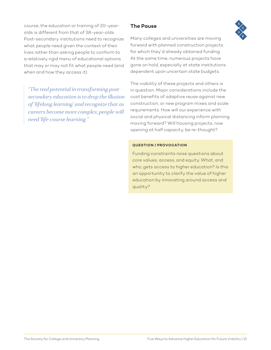course; the education or training of 20-yearolds is different from that of 38-year-olds. Post-secondary institutions need to recognize what people need given the context of their lives rather than asking people to conform to a relatively rigid menu of educational options that may or may not fit what people need (and when and how they access it).

*"The real potential in transforming postsecondary education is to drop the illusion of 'lifelong learning' and recognize that as careers become more complex, people will need 'life-course learning."*

#### **The Pause**

Many colleges and universities are moving forward with planned construction projects for which they'd already obtained funding. At the same time, numerous projects have gone on hold, especially at state institutions dependent upon uncertain state budgets.

The viability of these projects and others is in question. Major considerations include the cost benefits of adaptive reuse against new construction, or new program mixes and scale requirements. How will our experience with social and physical distancing inform planning moving forward? Will housing projects, now opening at half capacity, be re-thought?

#### **QUESTION / PROVOCATION**

Funding constraints raise questions about core values, access, and equity. What, and who, gets access to higher education? Is this an opportunity to clarify the value of higher education by innovating around access and quality?

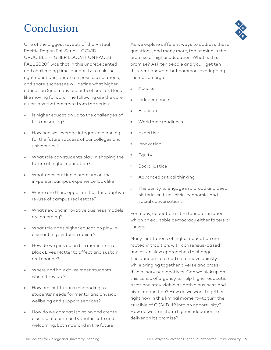## Conclusion

One of the biggest reveals of the Virtual Pacific Region Fall Series, "COVID + CRUCIBLE: HIGHER EDUCATION FACES FALL 2020", was that in this unprecedented and challenging time, our ability to ask the right questions, iterate on possible solutions, and share successes will define what higher education (and many aspects of society) look like moving forward. The following are the core questions that emerged from the series:

- » Is higher education up to the challenges of this reckoning?
- » How can we leverage integrated planning for the future success of our colleges and universities?
- » What role can students play in shaping the future of higher education?
- » What does putting a premium on the in-person campus experience look like?
- » Where are there opportunities for adaptive re-use of campus real estate?
- » What new and innovative business models are emerging?
- » What role does higher education play in dismantling systemic racism?
- » How do we pick up on the momentum of Black Lives Matter to affect and sustain real change?
- » Where and how do we meet students where they are?
- » How are institutions responding to students' needs for mental and physical wellbeing and support services?
- » How do we combat isolation and create a sense of community that is safe and welcoming, both now and in the future?



- » Access
- » Independence
- » Exposure
- » Workforce readiness
- » Expertise
- » Innovation
- **Equity**
- » Social justice
- » Advanced critical thinking
- » The ability to engage in a broad and deep historic, cultural, civic, economic, and social conversations

For many, education is the foundation upon which an equitable democracy either falters or thrives.

Many institutions of higher education are rooted in tradition, with consensus-based and often slow approaches to change. The pandemic forced us to move quickly while bringing together diverse and crossdisciplinary perspectives. Can we pick up on this sense of urgency to help higher education pivot and stay viable as both a business and civic proposition? How do we work together right now in this liminal moment—to turn the crucible of COVID-19 into an opportunity? How do we transform higher education to deliver on its promise?